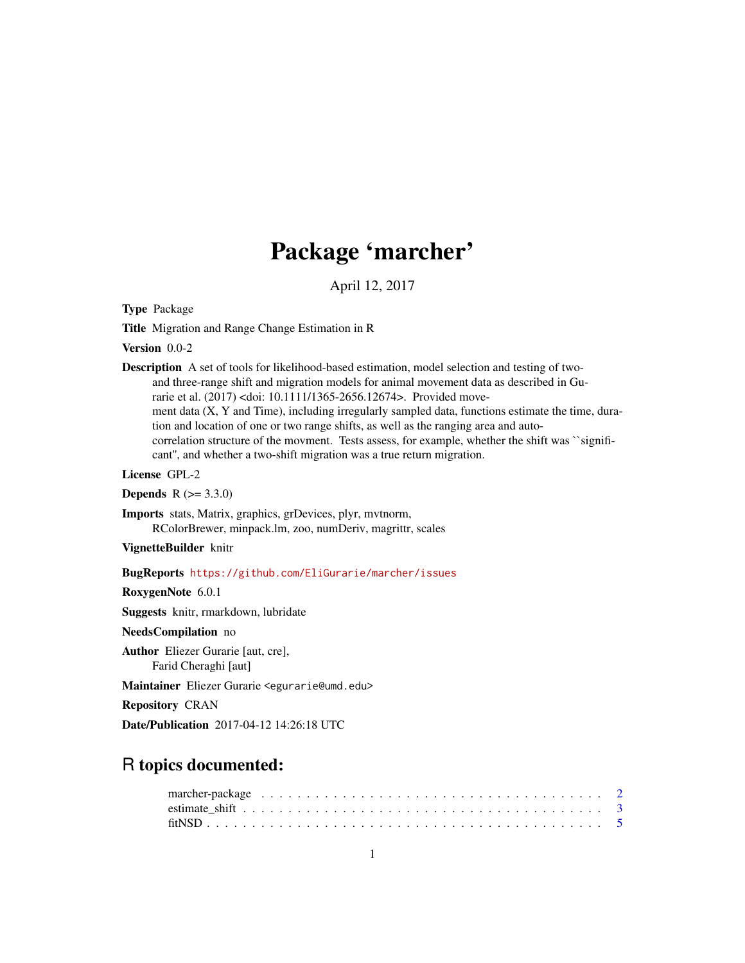## Package 'marcher'

April 12, 2017

<span id="page-0-0"></span>Type Package

Title Migration and Range Change Estimation in R

Version 0.0-2

Description A set of tools for likelihood-based estimation, model selection and testing of twoand three-range shift and migration models for animal movement data as described in Gurarie et al. (2017) <doi: 10.1111/1365-2656.12674>. Provided movement data (X, Y and Time), including irregularly sampled data, functions estimate the time, duration and location of one or two range shifts, as well as the ranging area and autocorrelation structure of the movment. Tests assess, for example, whether the shift was ``significant'', and whether a two-shift migration was a true return migration.

License GPL-2

**Depends**  $R (= 3.3.0)$ 

Imports stats, Matrix, graphics, grDevices, plyr, mvtnorm, RColorBrewer, minpack.lm, zoo, numDeriv, magrittr, scales

VignetteBuilder knitr

BugReports <https://github.com/EliGurarie/marcher/issues>

RoxygenNote 6.0.1

Suggests knitr, rmarkdown, lubridate

NeedsCompilation no

Author Eliezer Gurarie [aut, cre], Farid Cheraghi [aut]

Maintainer Eliezer Gurarie <egurarie@umd.edu>

Repository CRAN

Date/Publication 2017-04-12 14:26:18 UTC

### R topics documented: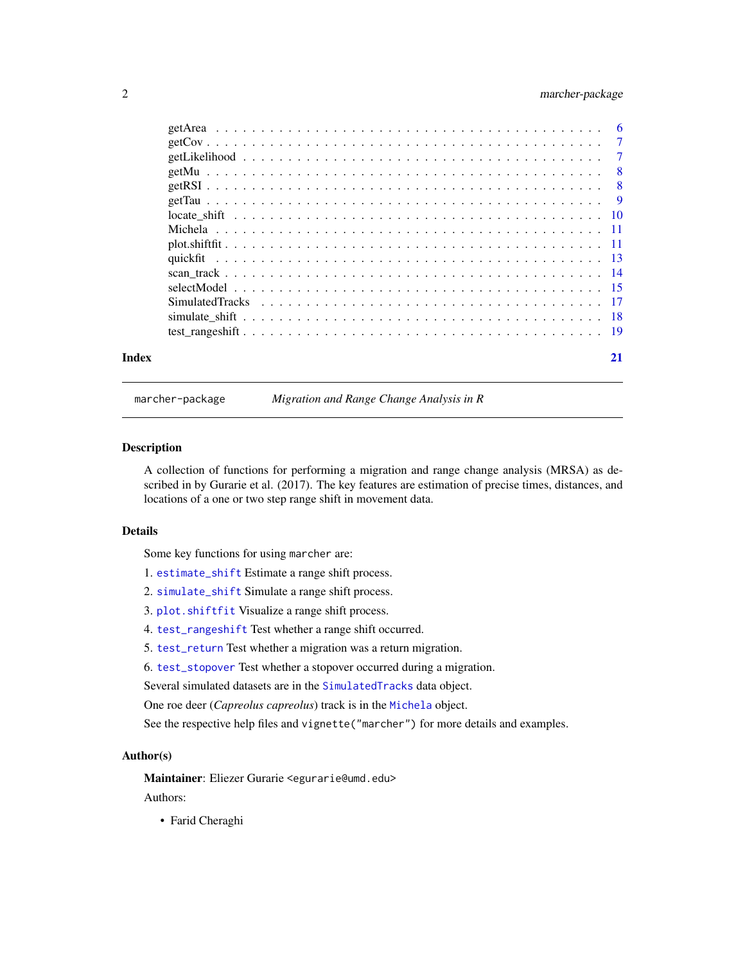#### <span id="page-1-0"></span>2 marcher-package

| Index | 21 |
|-------|----|

marcher-package *Migration and Range Change Analysis in R*

#### <span id="page-1-1"></span>Description

A collection of functions for performing a migration and range change analysis (MRSA) as described in by Gurarie et al. (2017). The key features are estimation of precise times, distances, and locations of a one or two step range shift in movement data.

#### Details

Some key functions for using marcher are:

- 1. [estimate\\_shift](#page-2-1) Estimate a range shift process.
- 2. [simulate\\_shift](#page-17-1) Simulate a range shift process.
- 3. [plot.shiftfit](#page-10-1) Visualize a range shift process.
- 4. [test\\_rangeshift](#page-18-1) Test whether a range shift occurred.
- 5. [test\\_return](#page-18-2) Test whether a migration was a return migration.
- 6. [test\\_stopover](#page-18-2) Test whether a stopover occurred during a migration.
- Several simulated datasets are in the [SimulatedTracks](#page-16-1) data object.
- One roe deer (*Capreolus capreolus*) track is in the [Michela](#page-10-2) object.

See the respective help files and vignette("marcher") for more details and examples.

#### Author(s)

Maintainer: Eliezer Gurarie <egurarie@umd.edu>

Authors:

• Farid Cheraghi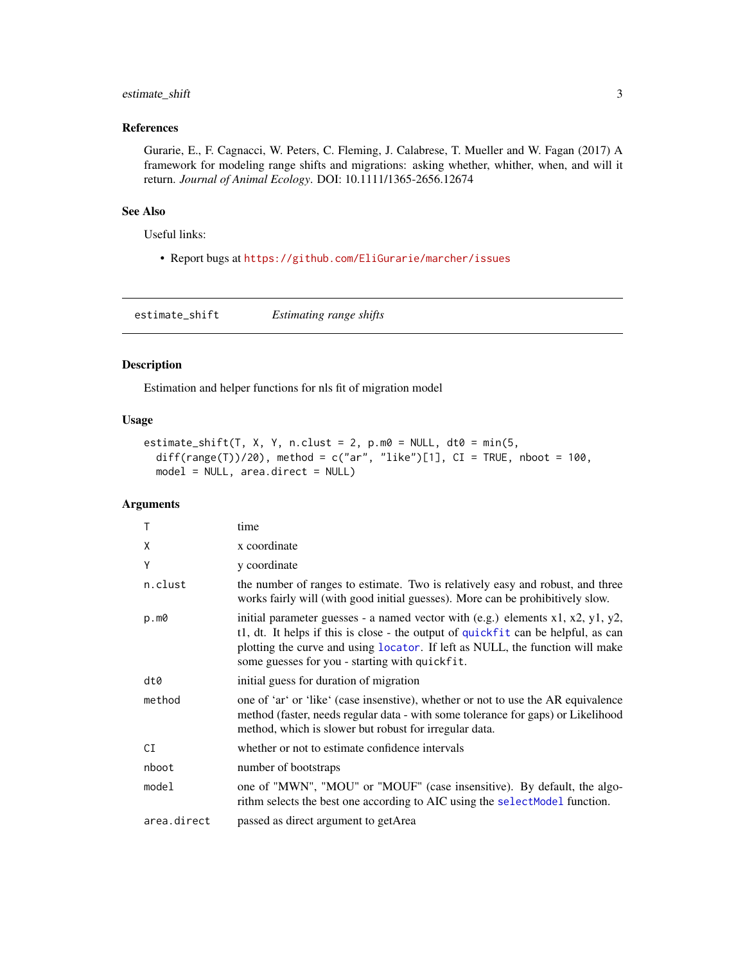#### <span id="page-2-0"></span>estimate\_shift 3

#### References

Gurarie, E., F. Cagnacci, W. Peters, C. Fleming, J. Calabrese, T. Mueller and W. Fagan (2017) A framework for modeling range shifts and migrations: asking whether, whither, when, and will it return. *Journal of Animal Ecology*. DOI: 10.1111/1365-2656.12674

#### See Also

Useful links:

• Report bugs at <https://github.com/EliGurarie/marcher/issues>

<span id="page-2-1"></span>estimate\_shift *Estimating range shifts*

#### Description

Estimation and helper functions for nls fit of migration model

#### Usage

```
estimate_shift(T, X, Y, n.clust = 2, p.m0 = NULL, dt0 = min(5,diff(range(T))/20), method = c("ar", "like")[1], CI = TRUE, nboot = 100,model = NULL, area.direct = NULL)
```
#### Arguments

| $\mathsf{T}$ | time                                                                                                                                                                                                                                                                                                                  |
|--------------|-----------------------------------------------------------------------------------------------------------------------------------------------------------------------------------------------------------------------------------------------------------------------------------------------------------------------|
| X            | x coordinate                                                                                                                                                                                                                                                                                                          |
| Y            | y coordinate                                                                                                                                                                                                                                                                                                          |
| n.clust      | the number of ranges to estimate. Two is relatively easy and robust, and three<br>works fairly will (with good initial guesses). More can be prohibitively slow.                                                                                                                                                      |
| p.m0         | initial parameter guesses - a named vector with $(e.g.)$ elements $x1$ , $x2$ , $y1$ , $y2$ ,<br>t1, dt. It helps if this is close - the output of quickfit can be helpful, as can<br>plotting the curve and using locator. If left as NULL, the function will make<br>some guesses for you - starting with quickfit. |
| dt0          | initial guess for duration of migration                                                                                                                                                                                                                                                                               |
| method       | one of 'ar' or 'like' (case insenstive), whether or not to use the AR equivalence<br>method (faster, needs regular data - with some tolerance for gaps) or Likelihood<br>method, which is slower but robust for irregular data.                                                                                       |
| CI           | whether or not to estimate confidence intervals                                                                                                                                                                                                                                                                       |
| nboot        | number of bootstraps                                                                                                                                                                                                                                                                                                  |
| model        | one of "MWN", "MOU" or "MOUF" (case insensitive). By default, the algo-<br>rithm selects the best one according to AIC using the select Model function.                                                                                                                                                               |
| area.direct  | passed as direct argument to getArea                                                                                                                                                                                                                                                                                  |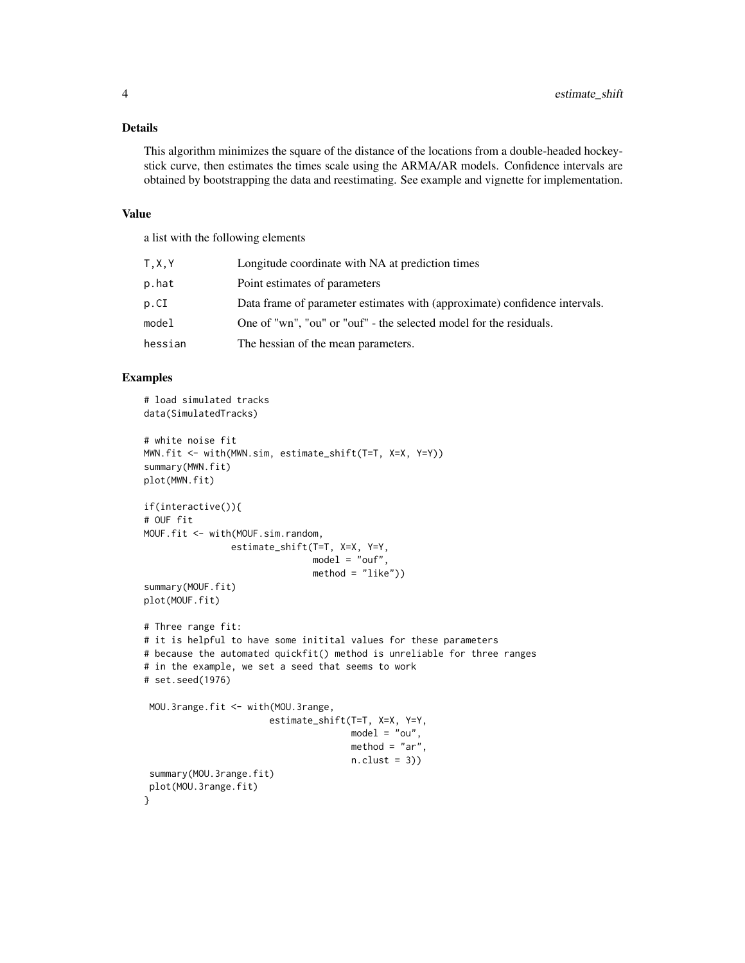#### Details

This algorithm minimizes the square of the distance of the locations from a double-headed hockeystick curve, then estimates the times scale using the ARMA/AR models. Confidence intervals are obtained by bootstrapping the data and reestimating. See example and vignette for implementation.

#### Value

a list with the following elements

| T.X.Y   | Longitude coordinate with NA at prediction times                           |
|---------|----------------------------------------------------------------------------|
| p.hat   | Point estimates of parameters                                              |
| p.CI    | Data frame of parameter estimates with (approximate) confidence intervals. |
| model   | One of "wn", "ou" or "ouf" - the selected model for the residuals.         |
| hessian | The hessian of the mean parameters.                                        |

#### Examples

```
# load simulated tracks
data(SimulatedTracks)
# white noise fit
MWN.fit <- with(MWN.sim, estimate_shift(T=T, X=X, Y=Y))
summary(MWN.fit)
plot(MWN.fit)
if(interactive()){
# OUF fit
MOUF.fit <- with(MOUF.sim.random,
                estimate_shift(T=T, X=X, Y=Y,
                               model = "out",method = "like"))
summary(MOUF.fit)
plot(MOUF.fit)
# Three range fit:
# it is helpful to have some initital values for these parameters
# because the automated quickfit() method is unreliable for three ranges
# in the example, we set a seed that seems to work
# set.seed(1976)
 MOU.3range.fit <- with(MOU.3range,
                       estimate_shift(T=T, X=X, Y=Y,
                                      model = "ou",method = "ar",n.class = 3)summary(MOU.3range.fit)
 plot(MOU.3range.fit)
}
```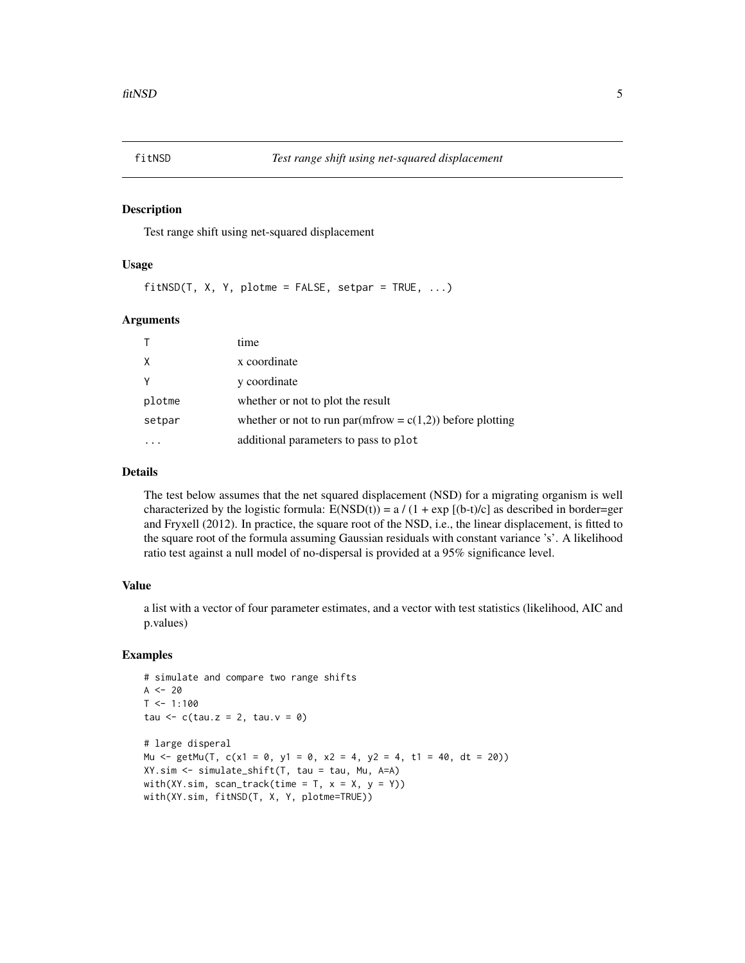<span id="page-4-0"></span>

#### Description

Test range shift using net-squared displacement

#### Usage

 $fitNSD(T, X, Y, plotme = FALSE, setpar = TRUE, ...)$ 

#### Arguments

| T.     | time                                                         |
|--------|--------------------------------------------------------------|
| Χ      | x coordinate                                                 |
| Υ      | y coordinate                                                 |
| plotme | whether or not to plot the result                            |
| setpar | whether or not to run par(mfrow = $c(1,2)$ ) before plotting |
|        | additional parameters to pass to plot                        |

#### Details

The test below assumes that the net squared displacement (NSD) for a migrating organism is well characterized by the logistic formula:  $E(NSD(t)) = a/(1 + exp [(b-t)/c]$  as described in border=ger and Fryxell (2012). In practice, the square root of the NSD, i.e., the linear displacement, is fitted to the square root of the formula assuming Gaussian residuals with constant variance 's'. A likelihood ratio test against a null model of no-dispersal is provided at a 95% significance level.

#### Value

a list with a vector of four parameter estimates, and a vector with test statistics (likelihood, AIC and p.values)

#### Examples

```
# simulate and compare two range shifts
A < - 20T < -1:100tau \leq c(tau.z = 2, tau.v = 0)
# large disperal
Mu <- getMu(T, c(x1 = 0, y1 = 0, x2 = 4, y2 = 4, t1 = 40, dt = 20))
XY.sim <- simulate_shift(T, tau = tau, Mu, A=A)
with(XY.sim, scan_track(time = T, x = X, y = Y))
with(XY.sim, fitNSD(T, X, Y, plotme=TRUE))
```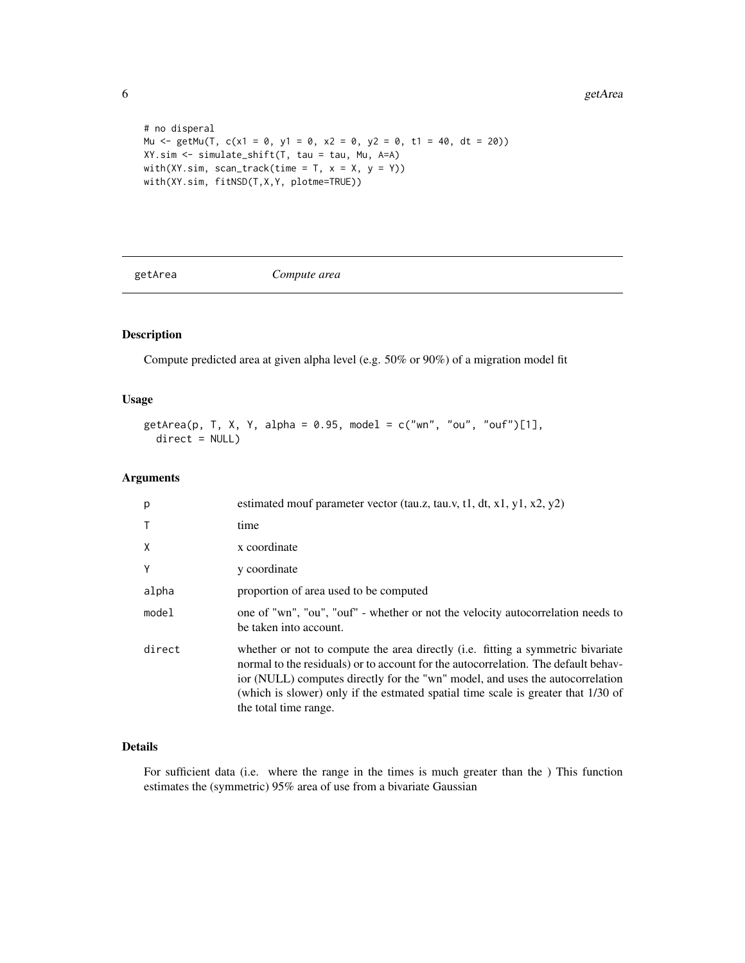6 getArea by the contract of the contract of the contract of the contract of the contract of the contract of the contract of the contract of the contract of the contract of the contract of the contract of the contract of t

```
# no disperal
Mu <- getMu(T, c(x1 = 0, y1 = 0, x2 = 0, y2 = 0, t1 = 40, dt = 20))
XY.sim <- simulate_shift(T, tau = tau, Mu, A=A)
with(XY.sim, scan_track(time = T, x = X, y = Y))
with(XY.sim, fitNSD(T,X,Y, plotme=TRUE))
```
getArea *Compute area*

#### Description

Compute predicted area at given alpha level (e.g. 50% or 90%) of a migration model fit

#### Usage

```
getArea(p, T, X, Y, alpha = 0.95, model = c("wn", "ou", "ouf")[1],
 direct = NULL)
```
#### Arguments

| p            | estimated mouf parameter vector (tau.z, tau.v, t1, dt, x1, y1, x2, y2)                                                                                                                                                                                                                                                                                               |
|--------------|----------------------------------------------------------------------------------------------------------------------------------------------------------------------------------------------------------------------------------------------------------------------------------------------------------------------------------------------------------------------|
| $\mathsf{T}$ | time                                                                                                                                                                                                                                                                                                                                                                 |
| X            | x coordinate                                                                                                                                                                                                                                                                                                                                                         |
| Y            | y coordinate                                                                                                                                                                                                                                                                                                                                                         |
| alpha        | proportion of area used to be computed                                                                                                                                                                                                                                                                                                                               |
| model        | one of "wn", "ou", "ouf" - whether or not the velocity autocorrelation needs to<br>be taken into account.                                                                                                                                                                                                                                                            |
| direct       | whether or not to compute the area directly (i.e. fitting a symmetric bivariate<br>normal to the residuals) or to account for the autocorrelation. The default behav-<br>ior (NULL) computes directly for the "wn" model, and uses the autocorrelation<br>(which is slower) only if the estmated spatial time scale is greater that 1/30 of<br>the total time range. |

#### Details

For sufficient data (i.e. where the range in the times is much greater than the ) This function estimates the (symmetric) 95% area of use from a bivariate Gaussian

<span id="page-5-0"></span>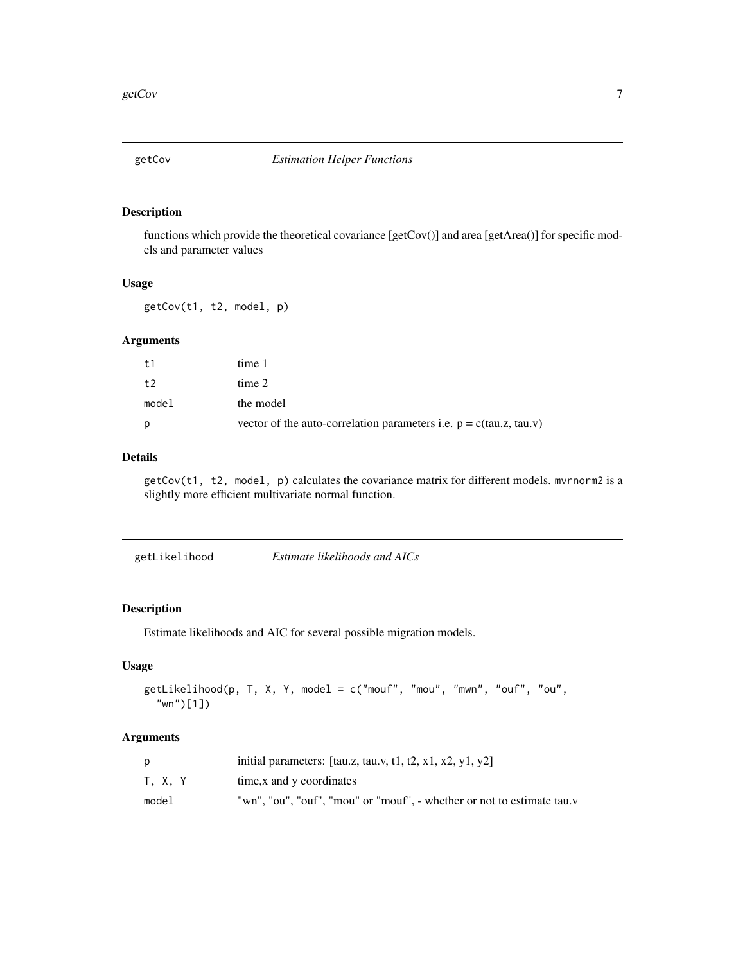<span id="page-6-0"></span>

#### Description

functions which provide the theoretical covariance [getCov()] and area [getArea()] for specific models and parameter values

#### Usage

getCov(t1, t2, model, p)

#### Arguments

| t1    | time 1                                                               |
|-------|----------------------------------------------------------------------|
| t2    | time 2                                                               |
| model | the model                                                            |
| Ŋ     | vector of the auto-correlation parameters i.e. $p = c(tau.z, tau.v)$ |

#### Details

getCov(t1, t2, model, p) calculates the covariance matrix for different models. mvrnorm2 is a slightly more efficient multivariate normal function.

| getLikelihood | Estimate likelihoods and AICs |
|---------------|-------------------------------|
|---------------|-------------------------------|

#### Description

Estimate likelihoods and AIC for several possible migration models.

#### Usage

```
getLikelihood(p, T, X, Y, model = c("mouf", "mou", "mwn", "ouf", "ou",
  "wn")[1])
```
#### Arguments

|         | initial parameters: $\lbrack \text{tauz, tau.v, t1, t2, x1, x2, y1, y2} \rbrack$ |
|---------|----------------------------------------------------------------------------------|
| T. X. Y | time, x and y coordinates                                                        |
| model   | "wn", "ou", "ouf", "mou" or "mouf", - whether or not to estimate tau.v           |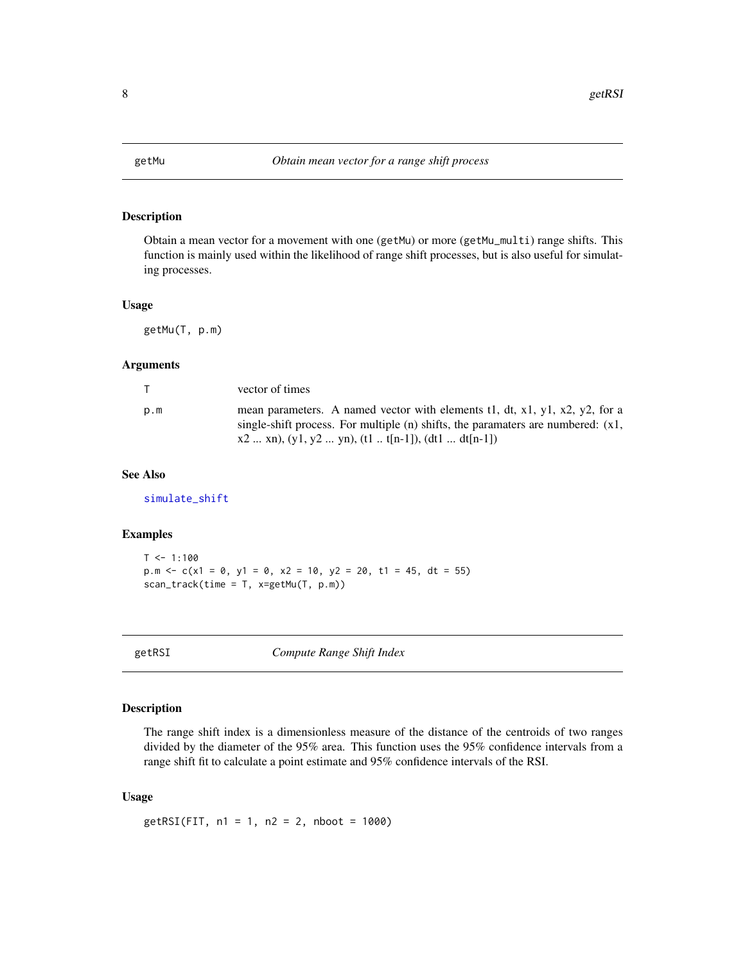<span id="page-7-1"></span><span id="page-7-0"></span>

#### Description

Obtain a mean vector for a movement with one (getMu) or more (getMu\_multi) range shifts. This function is mainly used within the likelihood of range shift processes, but is also useful for simulating processes.

#### Usage

getMu(T, p.m)

#### Arguments

| $\top$ | vector of times                                                                                                                                                                                                             |
|--------|-----------------------------------------------------------------------------------------------------------------------------------------------------------------------------------------------------------------------------|
| p.m    | mean parameters. A named vector with elements 11, dt, x1, y1, x2, y2, for a<br>single-shift process. For multiple $(n)$ shifts, the paramaters are numbered: $(x1,$<br>$x2$ xn), (y1, y2  yn), (t1  t[n-1]), (dt1  dt[n-1]) |

#### See Also

[simulate\\_shift](#page-17-1)

#### Examples

```
T < -1:100p.m \langle -c(x1 = 0, y1 = 0, x2 = 10, y2 = 20, t1 = 45, dt = 55)scan_track(time = T, x=getMu(T, p.m))
```
getRSI *Compute Range Shift Index*

#### Description

The range shift index is a dimensionless measure of the distance of the centroids of two ranges divided by the diameter of the 95% area. This function uses the 95% confidence intervals from a range shift fit to calculate a point estimate and 95% confidence intervals of the RSI.

#### Usage

getRSI(FIT, n1 = 1, n2 = 2, nboot = 1000)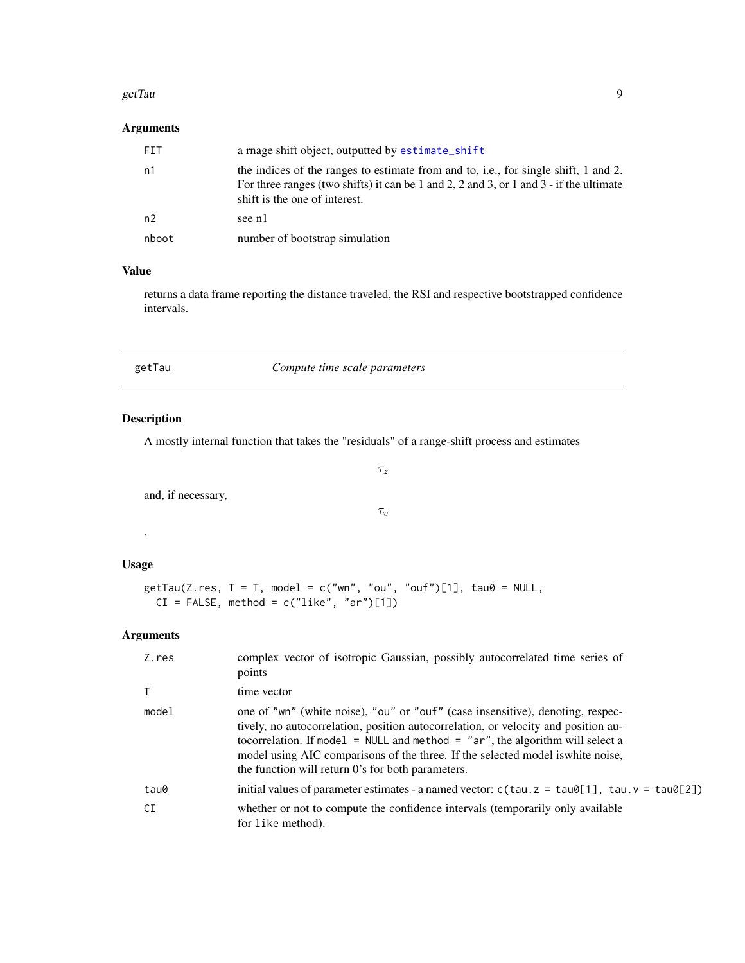#### <span id="page-8-0"></span>getTau  $\overline{9}$

#### Arguments

| FIT   | a rnage shift object, outputted by estimate_shift                                                                                                                                                              |
|-------|----------------------------------------------------------------------------------------------------------------------------------------------------------------------------------------------------------------|
| n1    | the indices of the ranges to estimate from and to, i.e., for single shift, 1 and 2.<br>For three ranges (two shifts) it can be 1 and 2, 2 and 3, or 1 and 3 - if the ultimate<br>shift is the one of interest. |
| n2    | see n1                                                                                                                                                                                                         |
| nboot | number of bootstrap simulation                                                                                                                                                                                 |

#### Value

returns a data frame reporting the distance traveled, the RSI and respective bootstrapped confidence intervals.

| Compute time scale parameters<br>getTau |  |
|-----------------------------------------|--|
|-----------------------------------------|--|

#### Description

A mostly internal function that takes the "residuals" of a range-shift process and estimates

and, if necessary,

```
\tau_v
```
 $\tau_z$ 

#### Usage

.

```
getTau(Z,res, T = T, model = c("wn", "ou", "ouf")[1], tau@ = NULL,CI = FALSE, method = c("like", "ar")[1])
```
#### Arguments

| Z.res        | complex vector of isotropic Gaussian, possibly autocorrelated time series of<br>points                                                                                                                                                                                                                                                                                                          |
|--------------|-------------------------------------------------------------------------------------------------------------------------------------------------------------------------------------------------------------------------------------------------------------------------------------------------------------------------------------------------------------------------------------------------|
| $\mathsf{T}$ | time vector                                                                                                                                                                                                                                                                                                                                                                                     |
| model        | one of "wn" (white noise), "ou" or "ouf" (case insensitive), denoting, respec-<br>tively, no autocorrelation, position autocorrelation, or velocity and position au-<br>tocorrelation. If model = $NULL$ and method = "ar", the algorithm will select a<br>model using AIC comparisons of the three. If the selected model is white noise,<br>the function will return 0's for both parameters. |
| tau0         | initial values of parameter estimates - a named vector: $c$ (tau. $z = \text{tau}[1]$ , tau. $v = \text{tau}[2]$ )                                                                                                                                                                                                                                                                              |
| CI           | whether or not to compute the confidence intervals (temporarily only available<br>for like method).                                                                                                                                                                                                                                                                                             |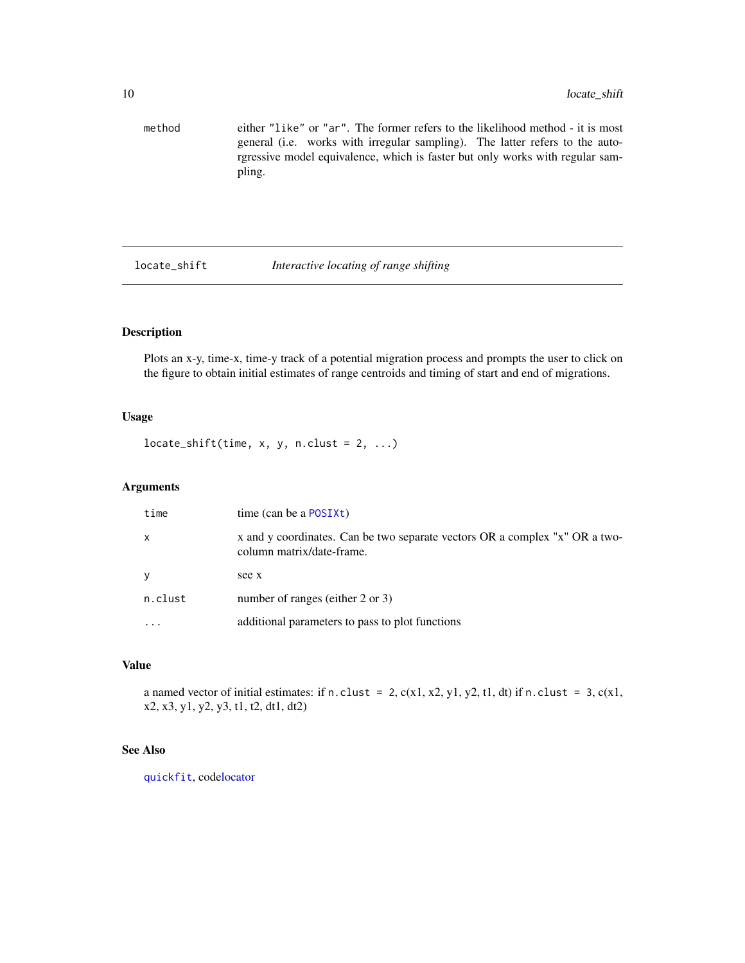```
method either "like" or "ar". The former refers to the likelihood method - it is most
                 general (i.e. works with irregular sampling). The latter refers to the auto-
                 rgressive model equivalence, which is faster but only works with regular sam-
                 pling.
```
locate\_shift *Interactive locating of range shifting*

#### Description

Plots an x-y, time-x, time-y track of a potential migration process and prompts the user to click on the figure to obtain initial estimates of range centroids and timing of start and end of migrations.

#### Usage

 $located\_shift(time, x, y, n.class = 2, ...)$ 

#### Arguments

| time         | time (can be a $\text{POSIX}t$ )                                                                         |
|--------------|----------------------------------------------------------------------------------------------------------|
| $\mathsf{x}$ | x and y coordinates. Can be two separate vectors OR a complex "x" OR a two-<br>column matrix/date-frame. |
| y            | see x                                                                                                    |
| n.clust      | number of ranges (either 2 or 3)                                                                         |
| $\cdots$     | additional parameters to pass to plot functions                                                          |

#### Value

a named vector of initial estimates: if n.clust = 2,  $c(x1, x2, y1, y2, t1, dt)$  if n.clust = 3,  $c(x1,$ x2, x3, y1, y2, y3, t1, t2, dt1, dt2)

#### See Also

[quickfit](#page-12-1), cod[elocator](#page-0-0)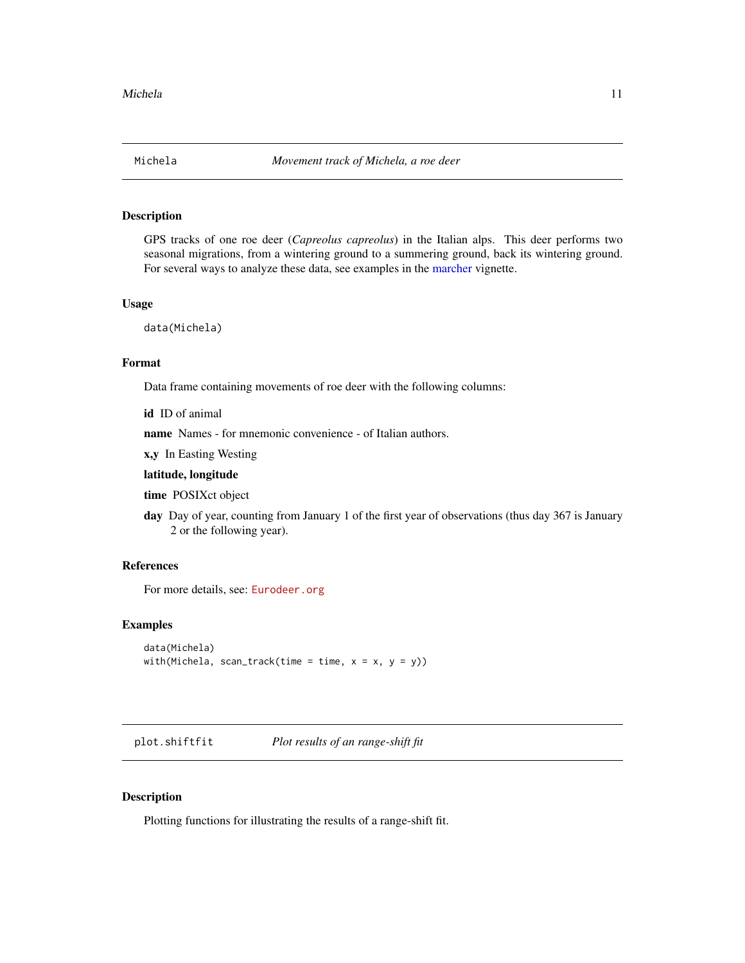<span id="page-10-2"></span><span id="page-10-0"></span>

#### Description

GPS tracks of one roe deer (*Capreolus capreolus*) in the Italian alps. This deer performs two seasonal migrations, from a wintering ground to a summering ground, back its wintering ground. For several ways to analyze these data, see examples in the [marcher](#page-1-1) vignette.

#### Usage

data(Michela)

#### Format

Data frame containing movements of roe deer with the following columns:

id ID of animal

name Names - for mnemonic convenience - of Italian authors.

x,y In Easting Westing

#### latitude, longitude

time POSIXct object

day Day of year, counting from January 1 of the first year of observations (thus day 367 is January 2 or the following year).

#### References

For more details, see: <Eurodeer.org>

#### Examples

```
data(Michela)
with(Michela, scan_track(time = time, x = x, y = y))
```
<span id="page-10-1"></span>plot.shiftfit *Plot results of an range-shift fit*

#### Description

Plotting functions for illustrating the results of a range-shift fit.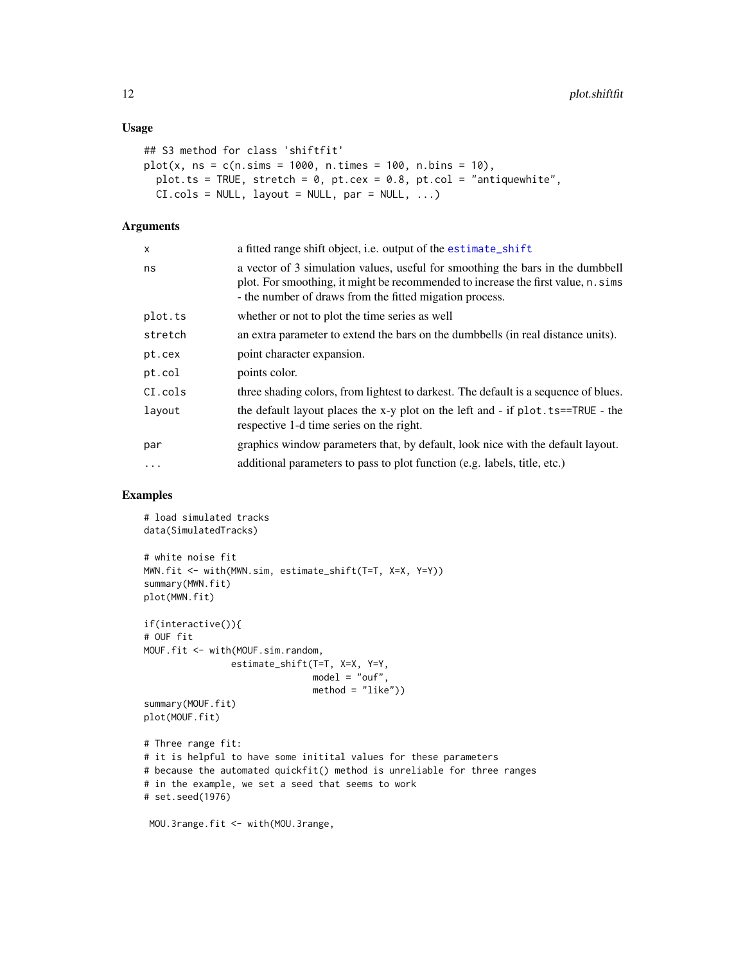#### <span id="page-11-0"></span>Usage

```
## S3 method for class 'shiftfit'
plot(x, ns = c(n.sims = 1000, n.times = 100, n.bins = 10),
 plot.ts = TRUE, stretch = 0, pt.cex = 0.8, pt.col = "antiquewhite",
 CI.close = NULL, layout = NULL, par = NULL, ...)
```
#### Arguments

| X       | a fitted range shift object, i.e. output of the estimate_shift                                                                                                                                                                 |
|---------|--------------------------------------------------------------------------------------------------------------------------------------------------------------------------------------------------------------------------------|
| ns      | a vector of 3 simulation values, useful for smoothing the bars in the dumbbell<br>plot. For smoothing, it might be recommended to increase the first value, n. sims<br>- the number of draws from the fitted migation process. |
| plot.ts | whether or not to plot the time series as well                                                                                                                                                                                 |
| stretch | an extra parameter to extend the bars on the dumbbells (in real distance units).                                                                                                                                               |
| pt.cex  | point character expansion.                                                                                                                                                                                                     |
| pt.col  | points color.                                                                                                                                                                                                                  |
| CI.cols | three shading colors, from lightest to darkest. The default is a sequence of blues.                                                                                                                                            |
| layout  | the default layout places the x-y plot on the left and - if plot. ts==TRUE - the<br>respective 1-d time series on the right.                                                                                                   |
| par     | graphics window parameters that, by default, look nice with the default layout.                                                                                                                                                |
| $\cdot$ | additional parameters to pass to plot function (e.g. labels, title, etc.)                                                                                                                                                      |

#### Examples

```
# load simulated tracks
data(SimulatedTracks)
# white noise fit
MWN.fit <- with(MWN.sim, estimate_shift(T=T, X=X, Y=Y))
summary(MWN.fit)
plot(MWN.fit)
if(interactive()){
# OUF fit
MOUF.fit <- with(MOUF.sim.random,
                estimate_shift(T=T, X=X, Y=Y,
                              model = "ouf",
                              method = "like")summary(MOUF.fit)
plot(MOUF.fit)
# Three range fit:
# it is helpful to have some initital values for these parameters
# because the automated quickfit() method is unreliable for three ranges
# in the example, we set a seed that seems to work
# set.seed(1976)
```
MOU.3range.fit <- with(MOU.3range,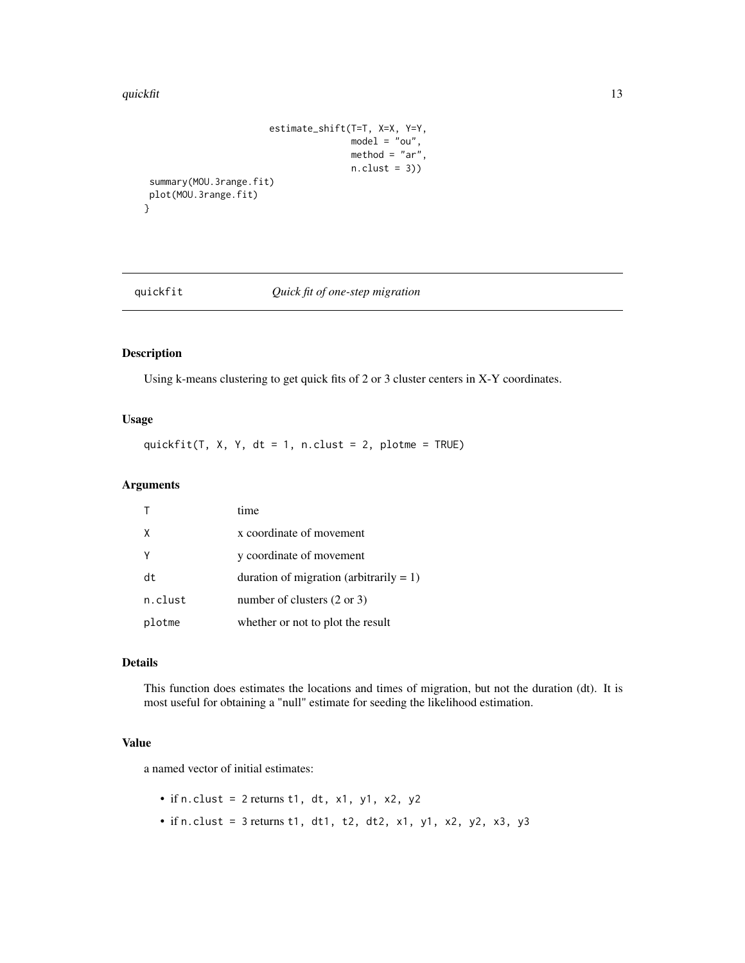#### <span id="page-12-0"></span>quickfit 13

```
estimate_shift(T=T, X=X, Y=Y,
                                    model = "ou",method = "ar",n.class = 3)summary(MOU.3range.fit)
plot(MOU.3range.fit)
```
<span id="page-12-1"></span>

}

#### quickfit *Quick fit of one-step migration*

#### Description

Using k-means clustering to get quick fits of 2 or 3 cluster centers in X-Y coordinates.

#### Usage

quickfit(T, X, Y, dt = 1, n.clust = 2, plotme = TRUE)

#### Arguments

|          | time                                       |
|----------|--------------------------------------------|
| $\times$ | x coordinate of movement                   |
|          | y coordinate of movement                   |
| dt       | duration of migration (arbitrarily $= 1$ ) |
| n.clust  | number of clusters $(2 \text{ or } 3)$     |
| plotme   | whether or not to plot the result          |

#### Details

This function does estimates the locations and times of migration, but not the duration (dt). It is most useful for obtaining a "null" estimate for seeding the likelihood estimation.

#### Value

a named vector of initial estimates:

- if n.clust =  $2$  returns t1, dt, x1, y1, x2, y2
- if n.clust =  $3$  returns t1, dt1, t2, dt2, x1, y1, x2, y2, x3, y3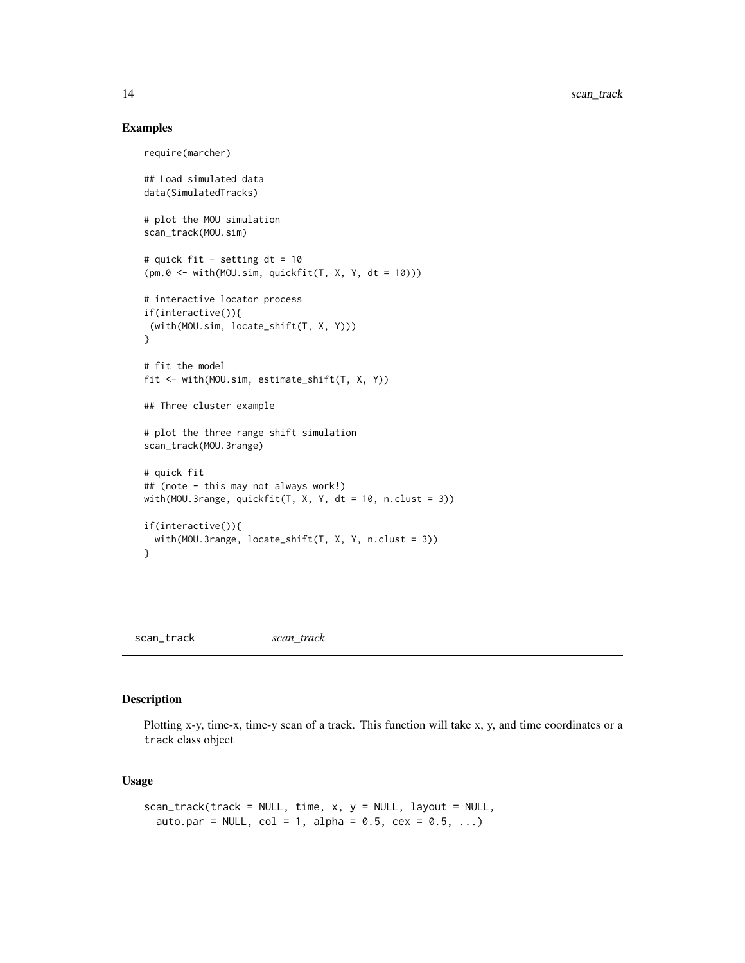#### Examples

```
require(marcher)
## Load simulated data
data(SimulatedTracks)
# plot the MOU simulation
scan_track(MOU.sim)
# quick fit - setting dt = 10
(pm.0 <- with(MOU.sim, quickfit(T, X, Y, dt = 10)))
# interactive locator process
if(interactive()){
 (with(MOU.sim, locate_shift(T, X, Y)))
}
# fit the model
fit <- with(MOU.sim, estimate_shift(T, X, Y))
## Three cluster example
# plot the three range shift simulation
scan_track(MOU.3range)
# quick fit
## (note - this may not always work!)
with(MOU.3range, quickfit(T, X, Y, dt = 10, n.clust = 3))
if(interactive()){
  with(MOU.3range, locate_shift(T, X, Y, n.clust = 3))
}
```
scan\_track *scan\_track*

#### Description

Plotting x-y, time-x, time-y scan of a track. This function will take x, y, and time coordinates or a track class object

#### Usage

```
scan_track(track = NULL, time, x, y = NULL, layout = NULL,
  auto.par = NULL, col = 1, alpha = 0.5, ces = 0.5, ...)
```
<span id="page-13-0"></span>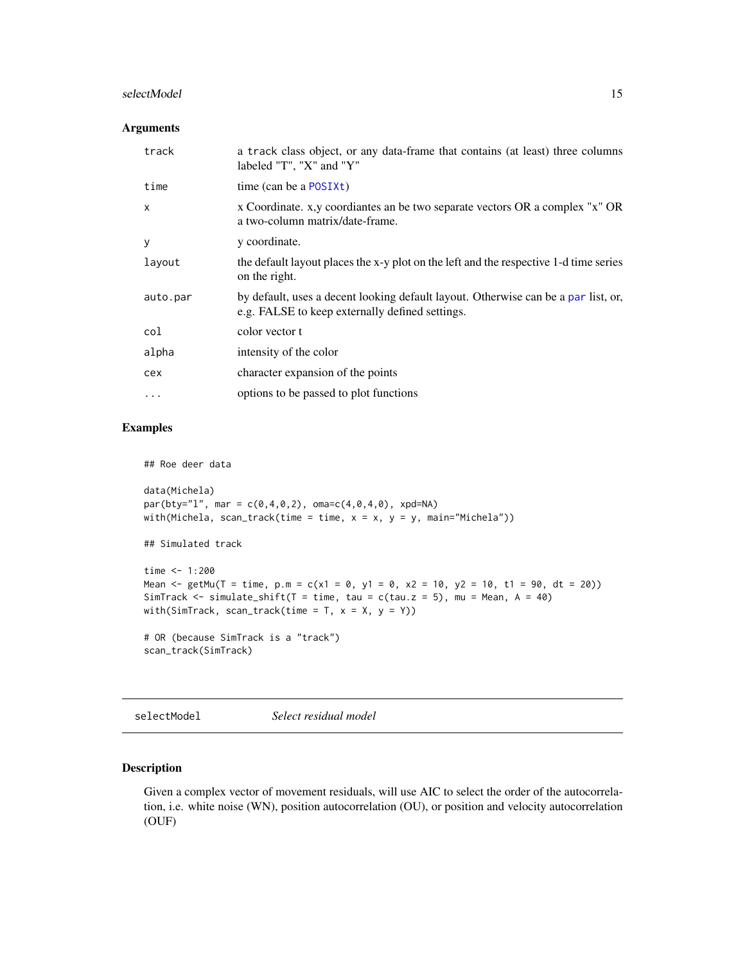#### <span id="page-14-0"></span>selectModel 15

#### Arguments

| track        | a track class object, or any data-frame that contains (at least) three columns<br>labeled "T", "X" and "Y"                            |
|--------------|---------------------------------------------------------------------------------------------------------------------------------------|
| time         | time (can be a POSIXt)                                                                                                                |
| $\mathsf{x}$ | x Coordinate. x,y coordiantes an be two separate vectors OR a complex "x" OR<br>a two-column matrix/date-frame.                       |
| y            | y coordinate.                                                                                                                         |
| layout       | the default layout places the x-y plot on the left and the respective 1-d time series<br>on the right.                                |
| auto.par     | by default, uses a decent looking default layout. Otherwise can be a par list, or,<br>e.g. FALSE to keep externally defined settings. |
| col          | color vector t                                                                                                                        |
| alpha        | intensity of the color                                                                                                                |
| cex          | character expansion of the points                                                                                                     |
| .            | options to be passed to plot functions                                                                                                |

#### Examples

## Roe deer data

```
data(Michela)
par(bty="1", mar = c(0, 4, 0, 2), oma=c(4, 0, 4, 0), xpd=NA)with(Michela, scan_track(time = time, x = x, y = y, main="Michela"))
## Simulated track
time < -1:200Mean \le getMu(T = time, p.m = c(x1 = 0, y1 = 0, x2 = 10, y2 = 10, t1 = 90, dt = 20))
SimTrack \le simulate_shift(T = time, tau = c(tau.z = 5), mu = Mean, A = 40)
with(SimTrack, scan_track(time = T, x = X, y = Y))
# OR (because SimTrack is a "track")
scan_track(SimTrack)
```
<span id="page-14-1"></span>selectModel *Select residual model*

#### Description

Given a complex vector of movement residuals, will use AIC to select the order of the autocorrelation, i.e. white noise (WN), position autocorrelation (OU), or position and velocity autocorrelation (OUF)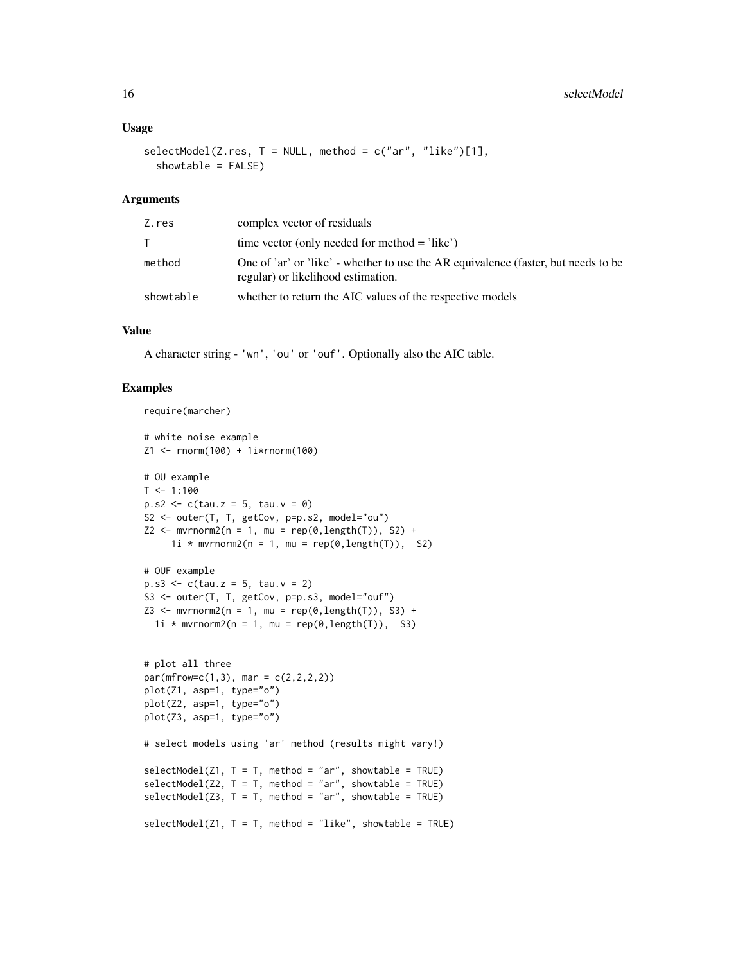#### Usage

```
selectModel(Z,res, T = NULL, method = c("ar", "like")[1],showtable = FALSE)
```
#### Arguments

| Z.res     | complex vector of residuals                                                                                              |
|-----------|--------------------------------------------------------------------------------------------------------------------------|
| T.        | time vector (only needed for method $=$ 'like')                                                                          |
| method    | One of 'ar' or 'like' - whether to use the AR equivalence (faster, but needs to be<br>regular) or likelihood estimation. |
| showtable | whether to return the AIC values of the respective models                                                                |

#### Value

A character string - 'wn', 'ou' or 'ouf'. Optionally also the AIC table.

#### Examples

```
require(marcher)
# white noise example
Z1 <- rnorm(100) + 1i*rnorm(100)
# OU example
T < -1:100p.s2 \leq c(tau.z = 5, tau.v = 0)S2 <- outer(T, T, getCov, p=p.s2, model="ou")
Z2 \leq -m \text{wronom2}(n = 1, mu = \text{rep}(0, \text{length}(T)), S2) +1i * mvrnorm2(n = 1, mu = rep(0, length(T)), S2)
# OUF example
p.s3 \leq c(tau.z = 5, tau.v = 2)S3 <- outer(T, T, getCov, p=p.s3, model="ouf")
Z3 \le mvrnorm2(n = 1, mu = rep(0, length(T)), S3) +1i \times mvrnorm2(n = 1, mu = rep(0,length(T)), S3)
# plot all three
par(mfrow=c(1,3), mar = c(2,2,2,2))plot(Z1, asp=1, type="o")
plot(Z2, asp=1, type="o")
plot(Z3, asp=1, type="o")
# select models using 'ar' method (results might vary!)
selectModel(Z1, T = T, method = "ar", showtable = TRUE)selectModel(Z2, T = T, method = "ar", showtable = TRUE)selectModel(Z3, T = T, method = "ar", showtable = TRUE)selectModel(Z1, T = T, method = "like", showtable = TRUE)
```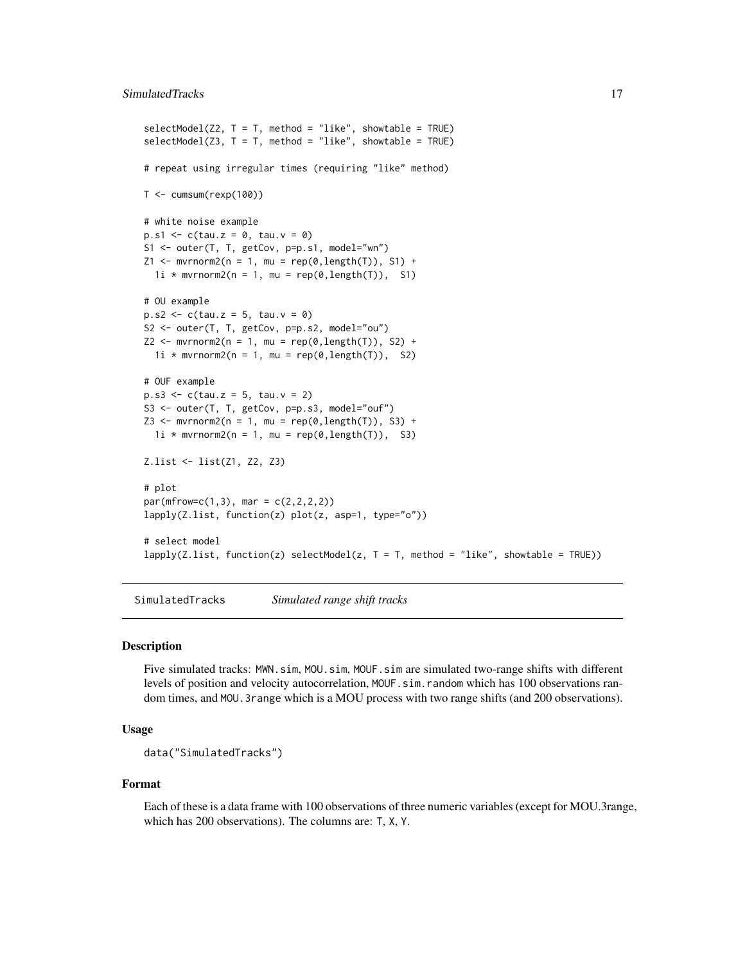#### <span id="page-16-0"></span>SimulatedTracks 17

```
selectModel(Z2, T = T, method = "like", showtable = TRUE)selectModel(Z3, T = T, method = "like", showtable = TRUE)# repeat using irregular times (requiring "like" method)
T < -cumsum(rexp(100))# white noise example
p.s1 \leq c(tau.z = 0, tau.v = 0)S1 <- outer(T, T, getCov, p=p.s1, model="wn")
Z1 \le - mvrnorm2(n = 1, mu = rep(0,length(T)), S1) +
  1i * mvrnorm2(n = 1, mu = rep(0, length(T)), S1)# OU example
p.s2 \leq c(tau.z = 5, tau.v = 0)S2 <- outer(T, T, getCov, p=p.s2, model="ou")
Z2 \leq mvrnorm2(n = 1, mu = rep(0, length(T)), S2) +1i * mvrnorm2(n = 1, mu = rep(0, length(T)), S2)
# OUF example
p.s3 \leq c(tau.z = 5, tau.v = 2)S3 <- outer(T, T, getCov, p=p.s3, model="ouf")
Z3 <- mvrnorm2(n = 1, mu = rep(0,length(T)), S3) +
  1i * mvrnorm2(n = 1, mu = rep(0,length(T)), S3)
Z.list <- list(Z1, Z2, Z3)
# plot
par(mfrow=c(1,3), mar = c(2,2,2,2))
lapply(Z.list, function(z) plot(z, asp=1, type="o"))
# select model
lapply (Z.list, function(z) selectModel(z, T = T, method = "like", showtable = TRUE))
```
<span id="page-16-1"></span>SimulatedTracks *Simulated range shift tracks*

#### Description

Five simulated tracks: MWN.sim, MOU.sim, MOUF.sim are simulated two-range shifts with different levels of position and velocity autocorrelation, MOUF.sim.random which has 100 observations random times, and MOU.3range which is a MOU process with two range shifts (and 200 observations).

#### Usage

```
data("SimulatedTracks")
```
#### Format

Each of these is a data frame with 100 observations of three numeric variables (except for MOU.3range, which has 200 observations). The columns are: T, X, Y.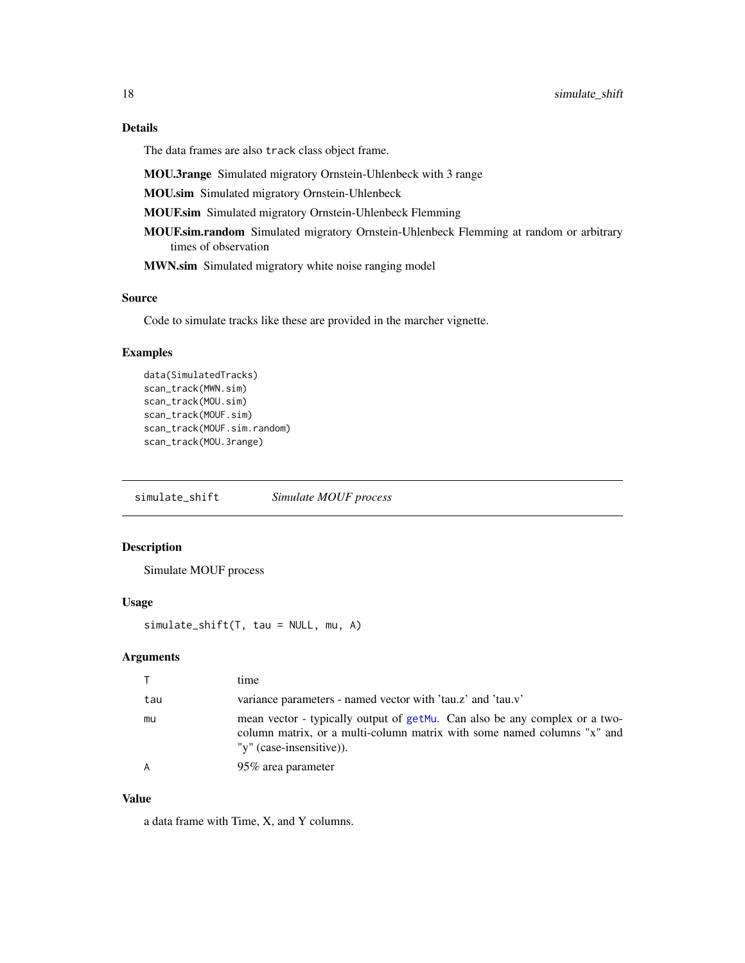The data frames are also track class object frame.

MOU.3range Simulated migratory Ornstein-Uhlenbeck with 3 range

MOU.sim Simulated migratory Ornstein-Uhlenbeck

MOUF.sim Simulated migratory Ornstein-Uhlenbeck Flemming

MOUF.sim.random Simulated migratory Ornstein-Uhlenbeck Flemming at random or arbitrary times of observation

MWN.sim Simulated migratory white noise ranging model

#### Source

Code to simulate tracks like these are provided in the marcher vignette.

#### Examples

```
data(SimulatedTracks)
scan_track(MWN.sim)
scan_track(MOU.sim)
scan_track(MOUF.sim)
scan_track(MOUF.sim.random)
scan_track(MOU.3range)
```
<span id="page-17-1"></span>simulate\_shift *Simulate MOUF process*

#### Description

Simulate MOUF process

#### Usage

simulate\_shift(T, tau = NULL, mu, A)

#### Arguments

|     | time                                                                                                                                                                              |  |
|-----|-----------------------------------------------------------------------------------------------------------------------------------------------------------------------------------|--|
| tau | variance parameters - named vector with 'tau.z' and 'tau.v'                                                                                                                       |  |
| mu  | mean vector - typically output of getMu. Can also be any complex or a two-<br>column matrix, or a multi-column matrix with some named columns "x" and<br>"y" (case-insensitive)). |  |
|     | 95% area parameter                                                                                                                                                                |  |

#### Value

a data frame with Time, X, and Y columns.

<span id="page-17-0"></span>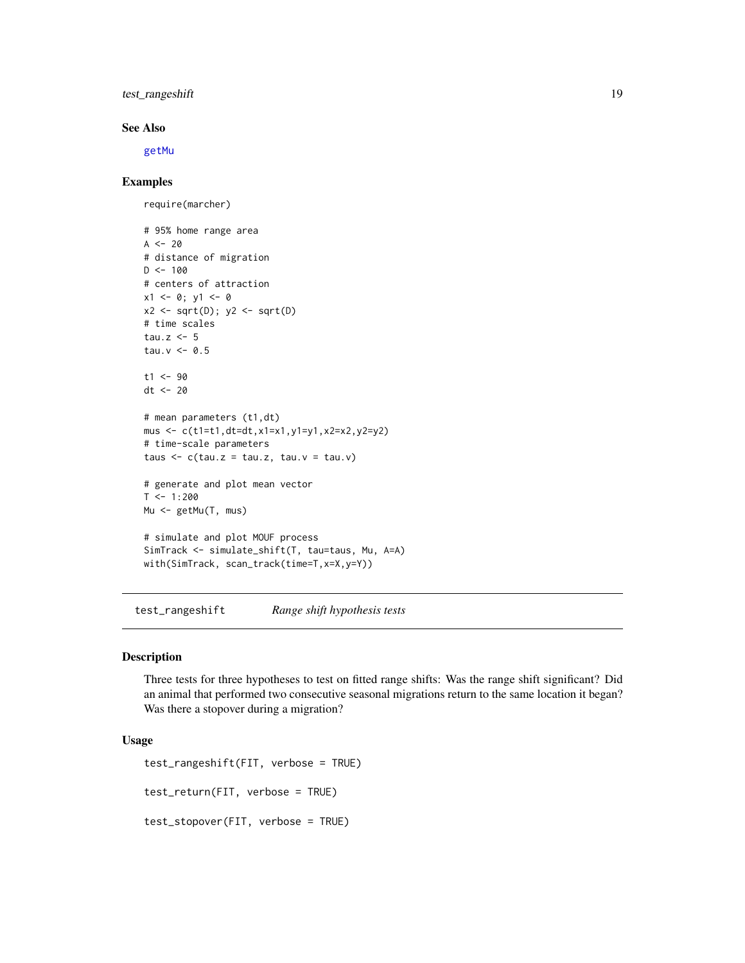#### <span id="page-18-0"></span>test\_rangeshift 19

#### See Also

[getMu](#page-7-1)

#### Examples

require(marcher)

```
# 95% home range area
A < -20# distance of migration
D < -100# centers of attraction
x1 \le -0; y1 \le -0x2 \leftarrow sqrt(D); y2 \leftarrow sqrt(D)# time scales
tau.z <-5tau.v < -0.5t1 < -90dt <- 20
# mean parameters (t1,dt)
mus <- c(t1=t1,dt=dt,x1=x1,y1=y1,x2=x2,y2=y2)
# time-scale parameters
taus \leq c(tau.z = tau.z, tau.v = tau.v)
# generate and plot mean vector
T < -1:200Mu <- getMu(T, mus)
# simulate and plot MOUF process
SimTrack <- simulate_shift(T, tau=taus, Mu, A=A)
with(SimTrack, scan_track(time=T,x=X,y=Y))
```
<span id="page-18-1"></span>test\_rangeshift *Range shift hypothesis tests*

#### <span id="page-18-2"></span>Description

Three tests for three hypotheses to test on fitted range shifts: Was the range shift significant? Did an animal that performed two consecutive seasonal migrations return to the same location it began? Was there a stopover during a migration?

#### Usage

```
test_rangeshift(FIT, verbose = TRUE)
test_return(FIT, verbose = TRUE)
test_stopover(FIT, verbose = TRUE)
```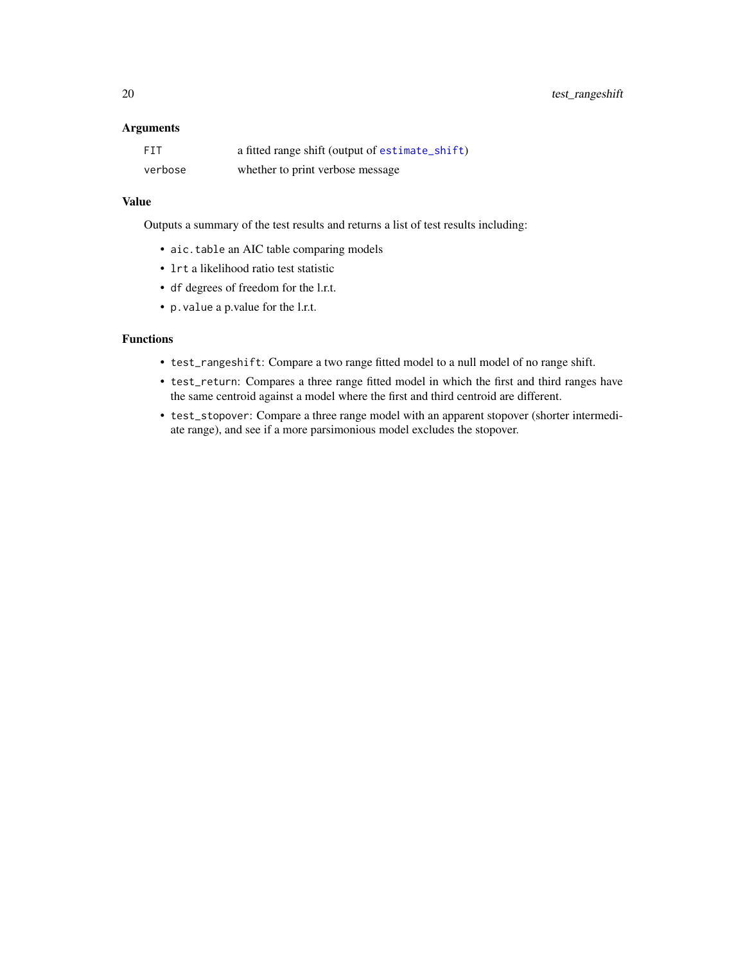<span id="page-19-0"></span>20 test\_rangeshift

#### Arguments

| <b>FTT</b> | a fitted range shift (output of estimate_shift) |
|------------|-------------------------------------------------|
| verbose    | whether to print verbose message                |

#### Value

Outputs a summary of the test results and returns a list of test results including:

- aic.table an AIC table comparing models
- lrt a likelihood ratio test statistic
- df degrees of freedom for the l.r.t.
- p.value a p.value for the l.r.t.

#### Functions

- test\_rangeshift: Compare a two range fitted model to a null model of no range shift.
- test\_return: Compares a three range fitted model in which the first and third ranges have the same centroid against a model where the first and third centroid are different.
- test\_stopover: Compare a three range model with an apparent stopover (shorter intermediate range), and see if a more parsimonious model excludes the stopover.